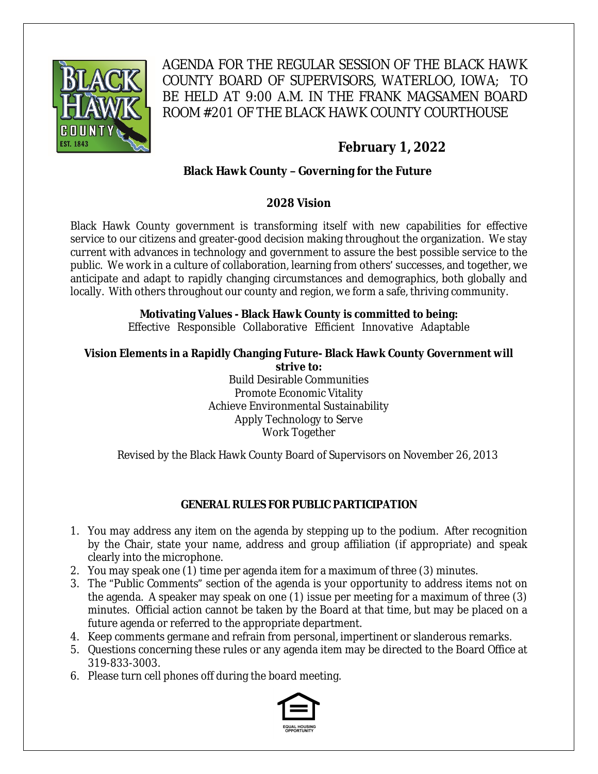

AGENDA FOR THE REGULAR SESSION OF THE BLACK HAWK COUNTY BOARD OF SUPERVISORS, WATERLOO, IOWA; TO BE HELD AT 9:00 A.M. IN THE FRANK MAGSAMEN BOARD ROOM #201 OF THE BLACK HAWK COUNTY COURTHOUSE

# **February 1, 2022**

# **Black Hawk County – Governing for the Future**

## **2028 Vision**

Black Hawk County government is transforming itself with new capabilities for effective service to our citizens and greater-good decision making throughout the organization. We stay current with advances in technology and government to assure the best possible service to the public. We work in a culture of collaboration, learning from others' successes, and together, we anticipate and adapt to rapidly changing circumstances and demographics, both globally and locally. With others throughout our county and region, we form a safe, thriving community.

# **Motivating Values - Black Hawk County is committed to being:**

Effective Responsible Collaborative Efficient Innovative Adaptable

#### **Vision Elements in a Rapidly Changing Future- Black Hawk County Government will strive to:**

Build Desirable Communities Promote Economic Vitality Achieve Environmental Sustainability Apply Technology to Serve Work Together

Revised by the Black Hawk County Board of Supervisors on November 26, 2013

# **GENERAL RULES FOR PUBLIC PARTICIPATION**

- 1. You may address any item on the agenda by stepping up to the podium. After recognition by the Chair, state your name, address and group affiliation (if appropriate) and speak clearly into the microphone.
- 2. You may speak one (1) time per agenda item for a maximum of three (3) minutes.
- 3. The "Public Comments" section of the agenda is your opportunity to address items not on the agenda. A speaker may speak on one (1) issue per meeting for a maximum of three (3) minutes. Official action cannot be taken by the Board at that time, but may be placed on a future agenda or referred to the appropriate department.
- 4. Keep comments germane and refrain from personal, impertinent or slanderous remarks.
- 5. Questions concerning these rules or any agenda item may be directed to the Board Office at 319-833-3003.
- 6. Please turn cell phones off during the board meeting.

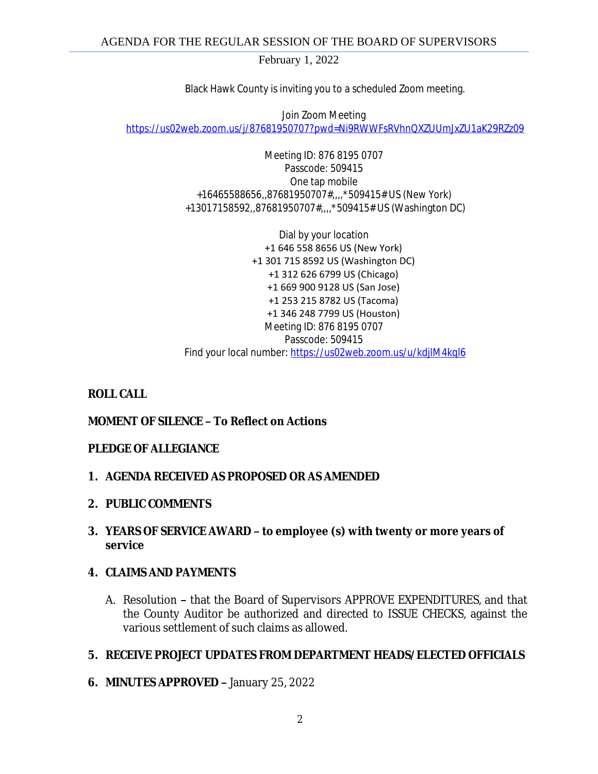Black Hawk County is inviting you to a scheduled Zoom meeting.

Join Zoom Meeting [https://us02web.zoom.us/j/87681950707?pwd=Ni9RWWFsRVhnQXZUUmJxZU1aK29RZz09](https://gcc02.safelinks.protection.outlook.com/?url=https%3A%2F%2Fus02web.zoom.us%2Fj%2F87681950707%3Fpwd%3DNi9RWWFsRVhnQXZUUmJxZU1aK29RZz09&data=04%7C01%7Cllamb%40blackhawkcounty.iowa.gov%7C038e822da2c244d8a9dd08d9e0d8224d%7C9960f5b6faae4bb3a122c43aceeaa06d%7C0%7C0%7C637788041153662870%7CUnknown%7CTWFpbGZsb3d8eyJWIjoiMC4wLjAwMDAiLCJQIjoiV2luMzIiLCJBTiI6Ik1haWwiLCJXVCI6Mn0%3D%7C3000&sdata=TdtIzssHkA2WSJ2e1v6009IbqI4E8vTWDlIm%2FUBc2uc%3D&reserved=0)

> Meeting ID: 876 8195 0707 Passcode: 509415 One tap mobile +16465588656,,87681950707#,,,,\*509415# US (New York) +13017158592,,87681950707#,,,,\*509415# US (Washington DC)

Dial by your location +1 646 558 8656 US (New York) +1 301 715 8592 US (Washington DC) +1 312 626 6799 US (Chicago) +1 669 900 9128 US (San Jose) +1 253 215 8782 US (Tacoma) +1 346 248 7799 US (Houston) Meeting ID: 876 8195 0707 Passcode: 509415 Find your local number: [https://us02web.zoom.us/u/kdjlM4kql6](https://gcc02.safelinks.protection.outlook.com/?url=https%3A%2F%2Fus02web.zoom.us%2Fu%2FkdjlM4kql6&data=04%7C01%7Cllamb%40blackhawkcounty.iowa.gov%7C038e822da2c244d8a9dd08d9e0d8224d%7C9960f5b6faae4bb3a122c43aceeaa06d%7C0%7C0%7C637788041153662870%7CUnknown%7CTWFpbGZsb3d8eyJWIjoiMC4wLjAwMDAiLCJQIjoiV2luMzIiLCJBTiI6Ik1haWwiLCJXVCI6Mn0%3D%7C3000&sdata=OELRL0M1YFdzN07D8wVki5VGqfLGYVJ%2F0bmbpNA5Ke8%3D&reserved=0)

# **ROLL CALL**

# **MOMENT OF SILENCE – To Reflect on Actions**

### **PLEDGE OF ALLEGIANCE**

### **1. AGENDA RECEIVED AS PROPOSED OR AS AMENDED**

- **2. PUBLIC COMMENTS**
- **3. YEARS OF SERVICE AWARD – to employee (s) with twenty or more years of service**

### **4. CLAIMS AND PAYMENTS**

A. Resolution **–** that the Board of Supervisors APPROVE EXPENDITURES, and that the County Auditor be authorized and directed to ISSUE CHECKS, against the various settlement of such claims as allowed.

### **5. RECEIVE PROJECT UPDATES FROM DEPARTMENT HEADS/ELECTED OFFICIALS**

**6. MINUTES APPROVED –** January 25, 2022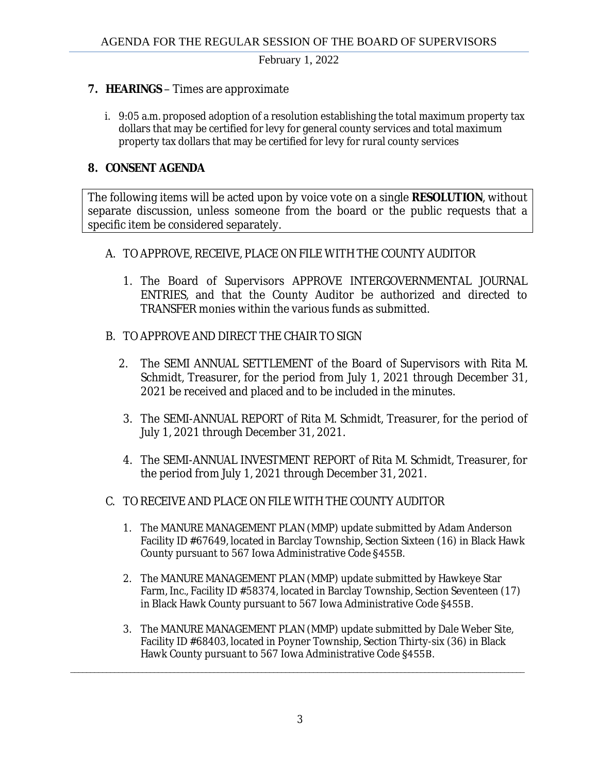### **7. HEARINGS** – Times are approximate

i. 9:05 a.m. proposed adoption of a resolution establishing the total maximum property tax dollars that may be certified for levy for general county services and total maximum property tax dollars that may be certified for levy for rural county services

## **8. CONSENT AGENDA**

The following items will be acted upon by voice vote on a single **RESOLUTION**, without separate discussion, unless someone from the board or the public requests that a specific item be considered separately.

### A. TO APPROVE, RECEIVE, PLACE ON FILE WITH THE COUNTY AUDITOR

- 1. The Board of Supervisors APPROVE INTERGOVERNMENTAL JOURNAL ENTRIES, and that the County Auditor be authorized and directed to TRANSFER monies within the various funds as submitted.
- B. TO APPROVE AND DIRECT THE CHAIR TO SIGN
	- 2. The SEMI ANNUAL SETTLEMENT of the Board of Supervisors with Rita M. Schmidt, Treasurer, for the period from July 1, 2021 through December 31, 2021 be received and placed and to be included in the minutes.
	- 3. The SEMI-ANNUAL REPORT of Rita M. Schmidt, Treasurer, for the period of July 1, 2021 through December 31, 2021.
	- 4. The SEMI-ANNUAL INVESTMENT REPORT of Rita M. Schmidt, Treasurer, for the period from July 1, 2021 through December 31, 2021.

### C. TO RECEIVE AND PLACE ON FILE WITH THE COUNTY AUDITOR

- 1. The MANURE MANAGEMENT PLAN (MMP) update submitted by Adam Anderson Facility ID #67649, located in Barclay Township, Section Sixteen (16) in Black Hawk County pursuant to 567 Iowa Administrative Code §455B.
- 2. The MANURE MANAGEMENT PLAN (MMP) update submitted by Hawkeye Star Farm, Inc., Facility ID #58374, located in Barclay Township, Section Seventeen (17) in Black Hawk County pursuant to 567 Iowa Administrative Code §455B.
- 3. The MANURE MANAGEMENT PLAN (MMP) update submitted by Dale Weber Site, Facility ID #68403, located in Poyner Township, Section Thirty-six (36) in Black Hawk County pursuant to 567 Iowa Administrative Code §455B.

\_\_\_\_\_\_\_\_\_\_\_\_\_\_\_\_\_\_\_\_\_\_\_\_\_\_\_\_\_\_\_\_\_\_\_\_\_\_\_\_\_\_\_\_\_\_\_\_\_\_\_\_\_\_\_\_\_\_\_\_\_\_\_\_\_\_\_\_\_\_\_\_\_\_\_\_\_\_\_\_\_\_\_\_\_\_\_\_\_\_\_\_\_\_\_\_\_\_\_\_\_\_\_\_\_\_\_\_\_\_\_\_\_\_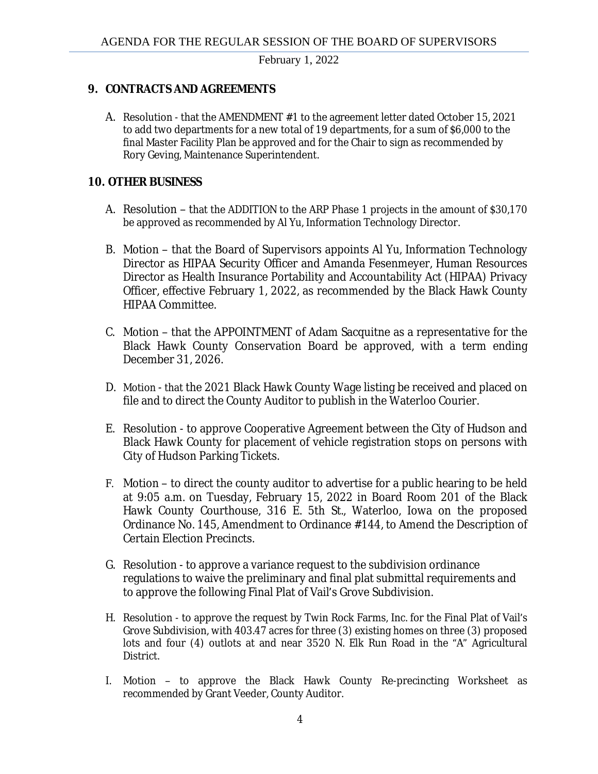### **9. CONTRACTS AND AGREEMENTS**

A. Resolution - that the AMENDMENT #1 to the agreement letter dated October 15, 2021 to add two departments for a new total of 19 departments, for a sum of \$6,000 to the final Master Facility Plan be approved and for the Chair to sign as recommended by Rory Geving, Maintenance Superintendent.

### **10. OTHER BUSINESS**

- A. Resolution that the ADDITION to the ARP Phase 1 projects in the amount of \$30,170 be approved as recommended by Al Yu, Information Technology Director.
- B. Motion that the Board of Supervisors appoints Al Yu, Information Technology Director as HIPAA Security Officer and Amanda Fesenmeyer, Human Resources Director as Health Insurance Portability and Accountability Act (HIPAA) Privacy Officer, effective February 1, 2022, as recommended by the Black Hawk County HIPAA Committee.
- C. Motion that the APPOINTMENT of Adam Sacquitne as a representative for the Black Hawk County Conservation Board be approved, with a term ending December 31, 2026.
- D. Motion that the 2021 Black Hawk County Wage listing be received and placed on file and to direct the County Auditor to publish in the Waterloo Courier.
- E. Resolution to approve Cooperative Agreement between the City of Hudson and Black Hawk County for placement of vehicle registration stops on persons with City of Hudson Parking Tickets.
- F. Motion to direct the county auditor to advertise for a public hearing to be held at 9:05 a.m. on Tuesday, February 15, 2022 in Board Room 201 of the Black Hawk County Courthouse, 316 E. 5th St., Waterloo, Iowa on the proposed Ordinance No. 145, Amendment to Ordinance #144, to Amend the Description of Certain Election Precincts.
- G. Resolution to approve a variance request to the subdivision ordinance regulations to waive the preliminary and final plat submittal requirements and to approve the following Final Plat of Vail's Grove Subdivision.
- H. Resolution to approve the request by Twin Rock Farms, Inc. for the Final Plat of Vail's Grove Subdivision, with 403.47 acres for three (3) existing homes on three (3) proposed lots and four (4) outlots at and near 3520 N. Elk Run Road in the "A" Agricultural District.
- I. Motion to approve the Black Hawk County Re-precincting Worksheet as recommended by Grant Veeder, County Auditor.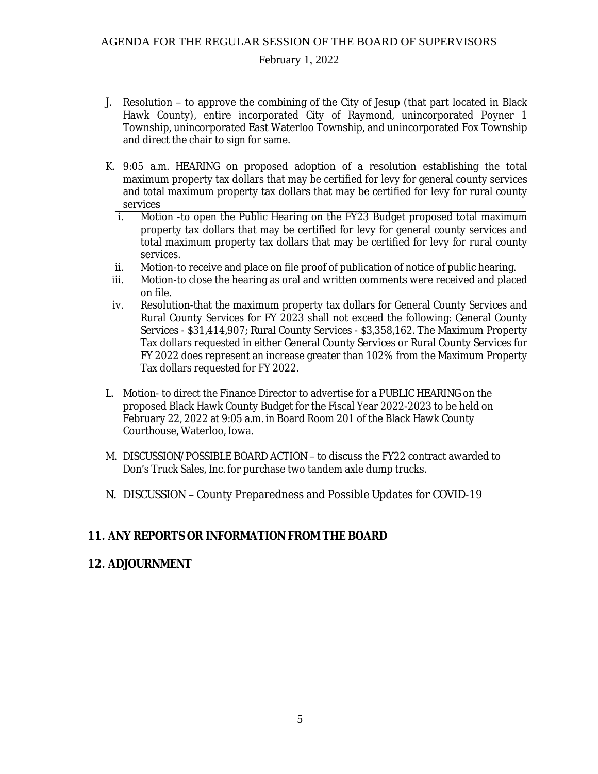- J. Resolution to approve the combining of the City of Jesup (that part located in Black Hawk County), entire incorporated City of Raymond, unincorporated Poyner 1 Township, unincorporated East Waterloo Township, and unincorporated Fox Township and direct the chair to sign for same.
- K. 9:05 a.m. HEARING on proposed adoption of a resolution establishing the total maximum property tax dollars that may be certified for levy for general county services and total maximum property tax dollars that may be certified for levy for rural county services
	- i. Motion -to open the Public Hearing on the FY23 Budget proposed total maximum property tax dollars that may be certified for levy for general county services and total maximum property tax dollars that may be certified for levy for rural county services.
	- ii. Motion-to receive and place on file proof of publication of notice of public hearing.
	- iii. Motion-to close the hearing as oral and written comments were received and placed on file.
	- iv. Resolution-that the maximum property tax dollars for General County Services and Rural County Services for FY 2023 shall not exceed the following: General County Services - \$31,414,907; Rural County Services - \$3,358,162. The Maximum Property Tax dollars requested in either General County Services or Rural County Services for FY 2022 does represent an increase greater than 102% from the Maximum Property Tax dollars requested for FY 2022.
- L. Motion- to direct the Finance Director to advertise for a PUBLIC HEARING on the proposed Black Hawk County Budget for the Fiscal Year 2022-2023 to be held on February 22, 2022 at 9:05 a.m. in Board Room 201 of the Black Hawk County Courthouse, Waterloo, Iowa.
- M. DISCUSSION/POSSIBLE BOARD ACTION to discuss the FY22 contract awarded to Don's Truck Sales, Inc. for purchase two tandem axle dump trucks.
- N. DISCUSSION County Preparedness and Possible Updates for COVID-19

### **11. ANY REPORTS OR INFORMATION FROM THE BOARD**

### **12. ADJOURNMENT**